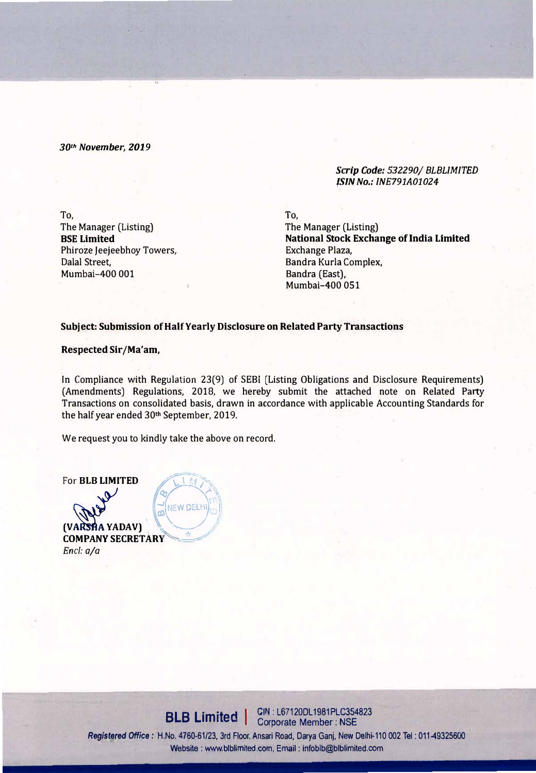*30th November, 2019* 

*Scrip Code: 532290/ BLBLIMITED /SIN No.: INE791A01024* 

**To,**  The Manager (Listing) **BSE Limited**  Phiroze Jeejeebhoy Towers, Dalal Street, Mumbai-400 001

**To,** 

The Manager (Listing) **National Stock Exchange of India Limited** Exchange Plaza, Sandra Kurla Complex, Bandra (East), Mumbal-400 051

## **Subject: Submission of Half Yearly Disclosure on Related Party Transactions**

**Respected Sir/Ma'am,** 

In Compliance with Regulation 23(9) of SESI (Listing Obligations and Disclosure Requirements) (Amendments) Regulations, 2018, we hereby submit the attached note on Related Party Transactions on consolidated basis, drawn in accordance with applicable Accounting Standards for the half year ended 30th September, 2019.

We request you to kindly take the above on record.

For **BLB LIMITED b** � *.:!1* **EXEMPELHIER (VARSHA YADAV) CANEW DELH COMPANY SECRETARY' �***<sup>9</sup> Encl: a/a* 

**BLB Limited** | CIN: L67120DL1981PLC354823 Registered Office: H.No. 4760-61/23, 3rd Floor, Ansari Road, Darya Ganj, New Delhi-110 002 Tel: 011-49325600 Website : www.blblimited.com, Email : infoblb@blblimited.com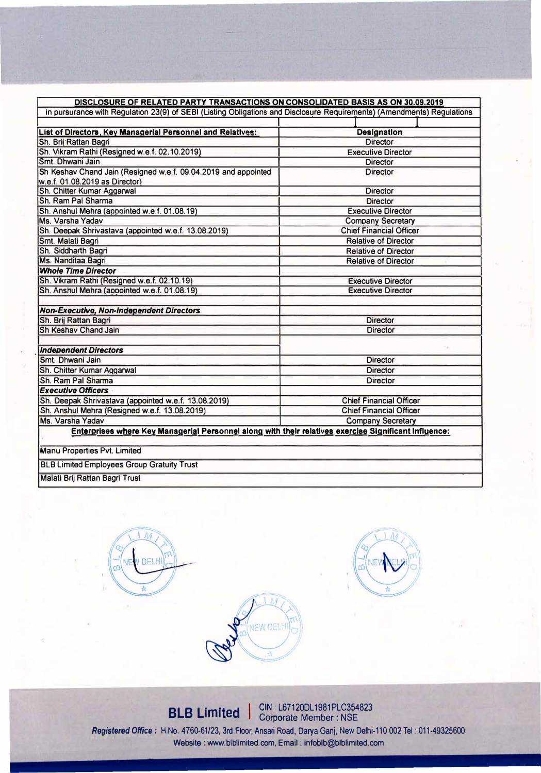| DISCLOSURE OF RELATED PARTY TRANSACTIONS ON CONSOLIDATED BASIS AS ON 30.09.2019                                        |                                |  |  |
|------------------------------------------------------------------------------------------------------------------------|--------------------------------|--|--|
| In pursurance with Regulation 23(9) of SEBI (Listing Obligations and Disclosure Requirements) (Amendments) Regulations |                                |  |  |
|                                                                                                                        |                                |  |  |
| List of Directors, Key Managerial Personnel and Relatives:                                                             | <b>Designation</b>             |  |  |
| Sh. Brij Rattan Bagri                                                                                                  | <b>Director</b>                |  |  |
| Sh. Vikram Rathi (Resigned w.e.f. 02.10.2019)                                                                          | <b>Executive Director</b>      |  |  |
| Smt. Dhwani Jain                                                                                                       | <b>Director</b>                |  |  |
| Sh Keshav Chand Jain (Resigned w.e.f. 09.04.2019 and appointed                                                         | <b>Director</b>                |  |  |
| w.e.f. 01.08.2019 as Director)                                                                                         |                                |  |  |
| Sh. Chitter Kumar Aggarwal                                                                                             | <b>Director</b>                |  |  |
| Sh. Ram Pal Sharma                                                                                                     | <b>Director</b>                |  |  |
| Sh. Anshul Mehra (appointed w.e.f. 01.08.19)                                                                           | <b>Executive Director</b>      |  |  |
| Ms. Varsha Yadav                                                                                                       | <b>Company Secretary</b>       |  |  |
| Sh. Deepak Shrivastava (appointed w.e.f. 13.08.2019)                                                                   | <b>Chief Financial Officer</b> |  |  |
| Smt. Malati Bagri                                                                                                      | <b>Relative of Director</b>    |  |  |
| Sh. Siddharth Bagri                                                                                                    | <b>Relative of Director</b>    |  |  |
| Ms. Nanditaa Bagri                                                                                                     | <b>Relative of Director</b>    |  |  |
| <b>Whole Time Director</b>                                                                                             |                                |  |  |
| Sh. Vikram Rathi (Resigned w.e.f. 02.10.19)                                                                            | <b>Executive Director</b>      |  |  |
| Sh. Anshul Mehra (appointed w.e.f. 01.08.19)                                                                           | <b>Executive Director</b>      |  |  |
| Non-Executive, Non-Independent Directors                                                                               |                                |  |  |
| Sh. Brij Rattan Bagri                                                                                                  | <b>Director</b>                |  |  |
| <b>Sh Keshav Chand Jain</b>                                                                                            | <b>Director</b>                |  |  |
| <b>Independent Directors</b>                                                                                           |                                |  |  |
| Smt. Dhwani Jain                                                                                                       | <b>Director</b>                |  |  |
| Sh. Chitter Kumar Aggarwal                                                                                             | <b>Director</b>                |  |  |
| Sh. Ram Pal Sharma                                                                                                     | <b>Director</b>                |  |  |
| <b>Executive Officers</b>                                                                                              |                                |  |  |
| Sh. Deepak Shrivastava (appointed w.e.f. 13.08.2019)                                                                   | <b>Chief Financial Officer</b> |  |  |
| Sh. Anshul Mehra (Resigned w.e.f. 13.08.2019)                                                                          | <b>Chief Financial Officer</b> |  |  |
| Ms. Varsha Yadav                                                                                                       | <b>Company Secretary</b>       |  |  |
| Enterprises where Key Managerial Personnel along with their relatives exercise Significant Influence:                  |                                |  |  |
| <b>Manu Properties Pvt. Limited</b>                                                                                    |                                |  |  |
| <b>BLB Limited Employees Group Gratuity Trust</b>                                                                      |                                |  |  |
| Malati Brij Rattan Bagri Trust                                                                                         |                                |  |  |

DELH NEW DELHI

**BLB Limited**  $\int_{\text{Corporate Member : NSE}}^{\text{CIN : LG7120DL1981PLC354823}}$ Registered Office: H.No. 4760-61/23, 3rd Floor, Ansari Road, Darya Ganj, New Delhi-110 002 Tel: 011-49325600 **Website: www.blblimited.com, Email : lnfoblb@blblimited.com**